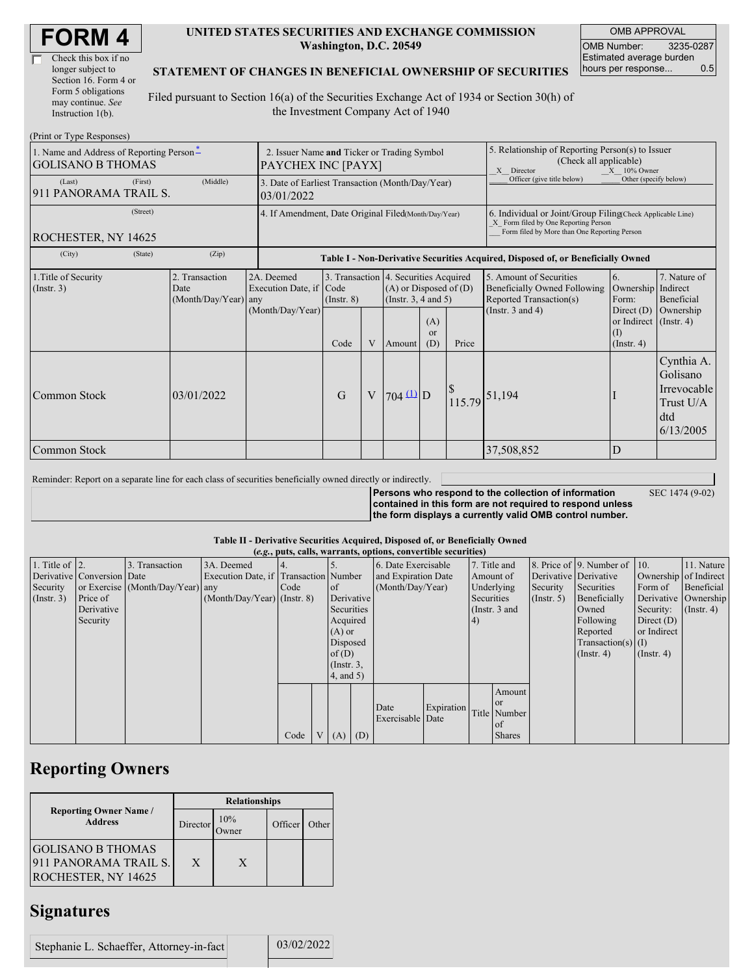| Check this box if no  |
|-----------------------|
| longer subject to     |
| Section 16. Form 4 or |
| Form 5 obligations    |
| may continue. See     |
| Instruction 1(b).     |

#### **UNITED STATES SECURITIES AND EXCHANGE COMMISSION Washington, D.C. 20549**

OMB APPROVAL OMB Number: 3235-0287 Estimated average burden hours per response... 0.5

### **STATEMENT OF CHANGES IN BENEFICIAL OWNERSHIP OF SECURITIES**

Filed pursuant to Section 16(a) of the Securities Exchange Act of 1934 or Section 30(h) of the Investment Company Act of 1940

| (Print or Type Responses)                                            |                                                                   |                                                |                                                                |                                                                                  |                |                                                                  |                                                                                                                                                    |        |                                                                                                             |                                                                                                        |                                                                        |  |  |
|----------------------------------------------------------------------|-------------------------------------------------------------------|------------------------------------------------|----------------------------------------------------------------|----------------------------------------------------------------------------------|----------------|------------------------------------------------------------------|----------------------------------------------------------------------------------------------------------------------------------------------------|--------|-------------------------------------------------------------------------------------------------------------|--------------------------------------------------------------------------------------------------------|------------------------------------------------------------------------|--|--|
| 1. Name and Address of Reporting Person-<br><b>GOLISANO B THOMAS</b> | 2. Issuer Name and Ticker or Trading Symbol<br>PAYCHEX INC [PAYX] |                                                |                                                                |                                                                                  |                |                                                                  | 5. Relationship of Reporting Person(s) to Issuer<br>(Check all applicable)<br>X Director<br>$X = 10\%$ Owner                                       |        |                                                                                                             |                                                                                                        |                                                                        |  |  |
| (Last)<br>911 PANORAMA TRAIL S.                                      | (First)                                                           | (Middle)                                       | 3. Date of Earliest Transaction (Month/Day/Year)<br>03/01/2022 |                                                                                  |                |                                                                  |                                                                                                                                                    |        | Officer (give title below)<br>Other (specify below)                                                         |                                                                                                        |                                                                        |  |  |
| ROCHESTER, NY 14625                                                  | 4. If Amendment, Date Original Filed(Month/Day/Year)              |                                                |                                                                |                                                                                  |                |                                                                  | 6. Individual or Joint/Group Filing(Check Applicable Line)<br>X Form filed by One Reporting Person<br>Form filed by More than One Reporting Person |        |                                                                                                             |                                                                                                        |                                                                        |  |  |
| (City)                                                               | (State)                                                           | (Zip)                                          |                                                                | Table I - Non-Derivative Securities Acquired, Disposed of, or Beneficially Owned |                |                                                                  |                                                                                                                                                    |        |                                                                                                             |                                                                                                        |                                                                        |  |  |
| 1. Title of Security<br>(Insert. 3)                                  |                                                                   | 2. Transaction<br>Date<br>(Month/Day/Year) any | 2A. Deemed<br>Execution Date, if Code<br>(Month/Day/Year)      | 3. Transaction 4. Securities Acquired<br>$($ Instr. $8)$<br>Code                 | V              | $(A)$ or Disposed of $(D)$<br>(Instr. $3, 4$ and $5$ )<br>Amount | (A)<br><b>or</b><br>(D)                                                                                                                            | Price  | 5. Amount of Securities<br>Beneficially Owned Following<br>Reported Transaction(s)<br>(Instr. $3$ and $4$ ) | 6.<br>Ownership Indirect<br>Form:<br>Direct $(D)$<br>or Indirect (Instr. 4)<br>(1)<br>$($ Instr. 4 $)$ | 7. Nature of<br>Beneficial<br>Ownership                                |  |  |
| Common Stock                                                         |                                                                   | 03/01/2022                                     |                                                                | G                                                                                | $\overline{V}$ | $704 \underline{u}$ D                                            |                                                                                                                                                    | 115.79 | 51,194                                                                                                      |                                                                                                        | Cynthia A.<br>Golisano<br>Irrevocable<br>Trust U/A<br>dtd<br>6/13/2005 |  |  |
| Common Stock                                                         |                                                                   |                                                |                                                                |                                                                                  |                |                                                                  |                                                                                                                                                    |        | 37,508,852                                                                                                  | D                                                                                                      |                                                                        |  |  |

Reminder: Report on a separate line for each class of securities beneficially owned directly or indirectly.

**Persons who respond to the collection of information contained in this form are not required to respond unless the form displays a currently valid OMB control number.** SEC 1474 (9-02)

#### **Table II - Derivative Securities Acquired, Disposed of, or Beneficially Owned**

|                        | (e.g., puts, calls, warrants, options, convertible securities) |                                  |                                       |      |                |                               |                     |                          |            |               |               |                       |                              |                       |                      |
|------------------------|----------------------------------------------------------------|----------------------------------|---------------------------------------|------|----------------|-------------------------------|---------------------|--------------------------|------------|---------------|---------------|-----------------------|------------------------------|-----------------------|----------------------|
| 1. Title of $\vert$ 2. |                                                                | 3. Transaction                   | 3A. Deemed                            |      |                |                               |                     | 6. Date Exercisable      |            |               | 7. Title and  |                       | 8. Price of 9. Number of 10. |                       | 11. Nature           |
|                        | Derivative Conversion Date                                     |                                  | Execution Date, if Transaction Number |      |                |                               | and Expiration Date |                          | Amount of  |               |               | Derivative Derivative |                              | Ownership of Indirect |                      |
| Security               |                                                                | or Exercise (Month/Day/Year) any |                                       | Code |                | (Month/Day/Year)<br>$\circ$ f |                     | Underlying               |            | Security      | Securities    | Form of               | Beneficial                   |                       |                      |
| (Insert. 3)            | Price of                                                       |                                  | $(Month/Day/Year)$ (Instr. 8)         |      |                |                               | Derivative          |                          |            | Securities    |               | (Insert, 5)           | Beneficially                 |                       | Derivative Ownership |
|                        | Derivative                                                     |                                  |                                       |      |                | Securities                    |                     |                          |            | (Instr. 3 and |               |                       | Owned                        | Security:             | $($ Instr. 4 $)$     |
|                        | Security                                                       |                                  |                                       |      |                | Acquired                      |                     |                          |            | (4)           |               |                       | Following                    | Direct $(D)$          |                      |
|                        |                                                                |                                  |                                       |      | $(A)$ or       |                               |                     |                          |            |               |               |                       | Reported                     | or Indirect           |                      |
|                        |                                                                |                                  |                                       |      | Disposed       |                               |                     |                          |            |               |               |                       | $Transaction(s)$ (I)         |                       |                      |
|                        |                                                                |                                  |                                       |      |                | of $(D)$                      |                     |                          |            |               |               |                       | $($ Instr. 4)                | $($ Instr. 4 $)$      |                      |
|                        |                                                                |                                  |                                       |      |                | $($ Instr. $3,$               |                     |                          |            |               |               |                       |                              |                       |                      |
|                        |                                                                |                                  |                                       |      |                |                               | 4, and 5)           |                          |            |               |               |                       |                              |                       |                      |
|                        |                                                                |                                  |                                       |      |                |                               |                     |                          |            |               | Amount        |                       |                              |                       |                      |
|                        |                                                                |                                  |                                       |      |                |                               |                     |                          |            |               | l or          |                       |                              |                       |                      |
|                        |                                                                |                                  |                                       |      |                |                               |                     | Date<br>Exercisable Date | Expiration |               | Title Number  |                       |                              |                       |                      |
|                        |                                                                |                                  |                                       |      |                |                               |                     |                          |            |               | of            |                       |                              |                       |                      |
|                        |                                                                |                                  |                                       | Code | V <sub>1</sub> | $(A)$ $(D)$                   |                     |                          |            |               | <b>Shares</b> |                       |                              |                       |                      |

## **Reporting Owners**

|                                                                          | <b>Relationships</b> |              |         |       |  |  |  |  |
|--------------------------------------------------------------------------|----------------------|--------------|---------|-------|--|--|--|--|
| <b>Reporting Owner Name /</b><br><b>Address</b>                          | Director             | 10%<br>)wner | Officer | Other |  |  |  |  |
| <b>GOLISANO B THOMAS</b><br>911 PANORAMA TRAIL S.<br>ROCHESTER, NY 14625 | X                    | X            |         |       |  |  |  |  |

### **Signatures**

Stephanie L. Schaeffer, Attorney-in-fact 03/02/2022